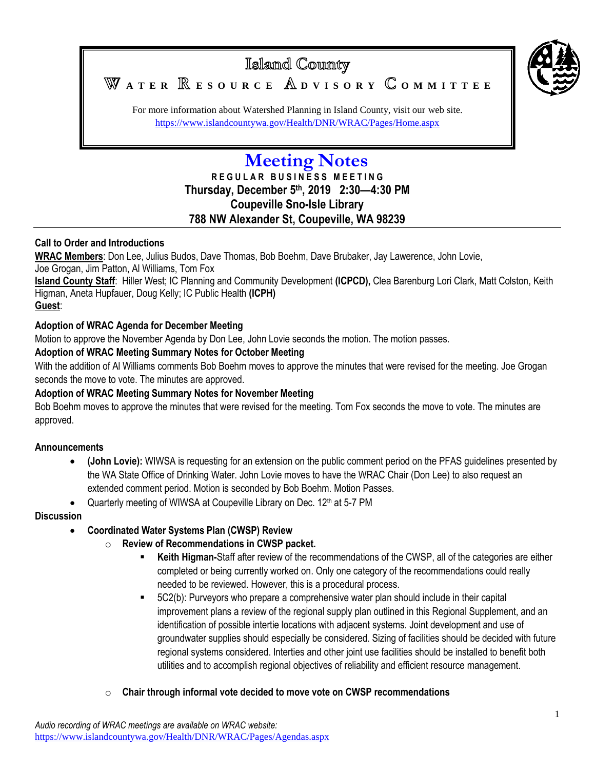

For more information about Watershed Planning in Island County, visit our web site. <https://www.islandcountywa.gov/Health/DNR/WRAC/Pages/Home.aspx>

# **Meeting Notes**

**R E G U L A R B U S I N E S S M E E T I N G Thursday, December 5 th , 2019 2:30—4:30 PM Coupeville Sno-Isle Library 788 NW Alexander St, Coupeville, WA 98239**

#### **Call to Order and Introductions**

**WRAC Members**: Don Lee, Julius Budos, Dave Thomas, Bob Boehm, Dave Brubaker, Jay Lawerence, John Lovie, Joe Grogan, Jim Patton, Al Williams, Tom Fox

**Island County Staff**: Hiller West; IC Planning and Community Development **(ICPCD),** Clea Barenburg Lori Clark, Matt Colston, Keith Higman, Aneta Hupfauer, Doug Kelly; IC Public Health **(ICPH)**

### **Guest**:

#### **Adoption of WRAC Agenda for December Meeting**

Motion to approve the November Agenda by Don Lee, John Lovie seconds the motion. The motion passes.

#### **Adoption of WRAC Meeting Summary Notes for October Meeting**

With the addition of Al Williams comments Bob Boehm moves to approve the minutes that were revised for the meeting. Joe Grogan seconds the move to vote. The minutes are approved.

#### **Adoption of WRAC Meeting Summary Notes for November Meeting**

Bob Boehm moves to approve the minutes that were revised for the meeting. Tom Fox seconds the move to vote. The minutes are approved.

#### **Announcements**

- **(John Lovie):** WIWSA is requesting for an extension on the public comment period on the PFAS guidelines presented by the WA State Office of Drinking Water. John Lovie moves to have the WRAC Chair (Don Lee) to also request an extended comment period. Motion is seconded by Bob Boehm. Motion Passes.
- Quarterly meeting of WIWSA at Coupeville Library on Dec. 12<sup>th</sup> at 5-7 PM

#### **Discussion**

**Coordinated Water Systems Plan (CWSP) Review** 

#### o **Review of Recommendations in CWSP packet.**

- **Keith Higman-**Staff after review of the recommendations of the CWSP, all of the categories are either completed or being currently worked on. Only one category of the recommendations could really needed to be reviewed. However, this is a procedural process.
- 5C2(b): Purveyors who prepare a comprehensive water plan should include in their capital improvement plans a review of the regional supply plan outlined in this Regional Supplement, and an identification of possible intertie locations with adjacent systems. Joint development and use of groundwater supplies should especially be considered. Sizing of facilities should be decided with future regional systems considered. Interties and other joint use facilities should be installed to benefit both utilities and to accomplish regional objectives of reliability and efficient resource management.
- o **Chair through informal vote decided to move vote on CWSP recommendations**